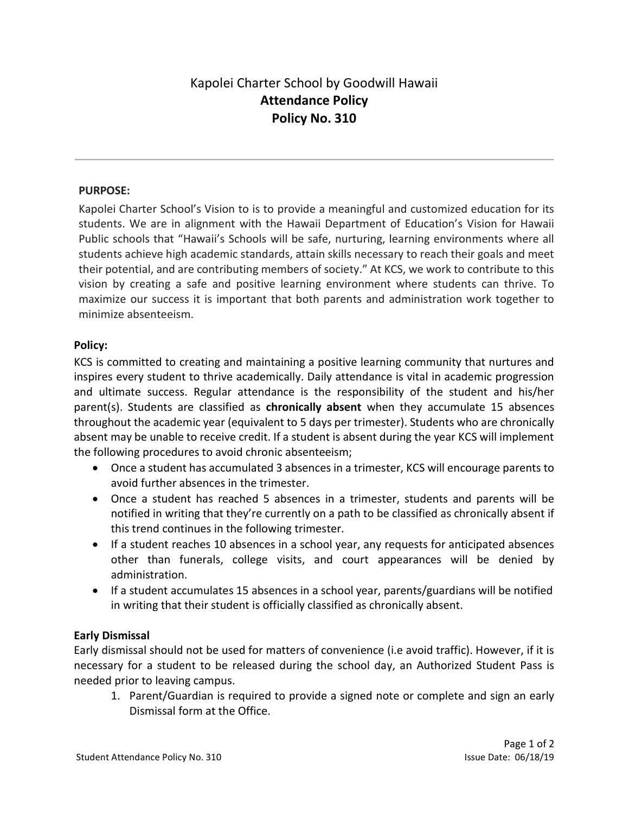# Kapolei Charter School by Goodwill Hawaii Attendance Policy Policy No. 310

### PURPOSE:

Kapolei Charter School's Vision to is to provide a meaningful and customized education for its students. We are in alignment with the Hawaii Department of Education's Vision for Hawaii Public schools that "Hawaii's Schools will be safe, nurturing, learning environments where all students achieve high academic standards, attain skills necessary to reach their goals and meet their potential, and are contributing members of society." At KCS, we work to contribute to this vision by creating a safe and positive learning environment where students can thrive. To maximize our success it is important that both parents and administration work together to minimize absenteeism.

### Policy:

KCS is committed to creating and maintaining a positive learning community that nurtures and inspires every student to thrive academically. Daily attendance is vital in academic progression and ultimate success. Regular attendance is the responsibility of the student and his/her parent(s). Students are classified as chronically absent when they accumulate 15 absences throughout the academic year (equivalent to 5 days per trimester). Students who are chronically absent may be unable to receive credit. If a student is absent during the year KCS will implement the following procedures to avoid chronic absenteeism;

- Once a student has accumulated 3 absences in a trimester, KCS will encourage parents to avoid further absences in the trimester.
- Once a student has reached 5 absences in a trimester, students and parents will be notified in writing that they're currently on a path to be classified as chronically absent if this trend continues in the following trimester.
- If a student reaches 10 absences in a school year, any requests for anticipated absences other than funerals, college visits, and court appearances will be denied by administration.
- If a student accumulates 15 absences in a school year, parents/guardians will be notified in writing that their student is officially classified as chronically absent.

### Early Dismissal

Early dismissal should not be used for matters of convenience (i.e avoid traffic). However, if it is necessary for a student to be released during the school day, an Authorized Student Pass is needed prior to leaving campus.

1. Parent/Guardian is required to provide a signed note or complete and sign an early Dismissal form at the Office.